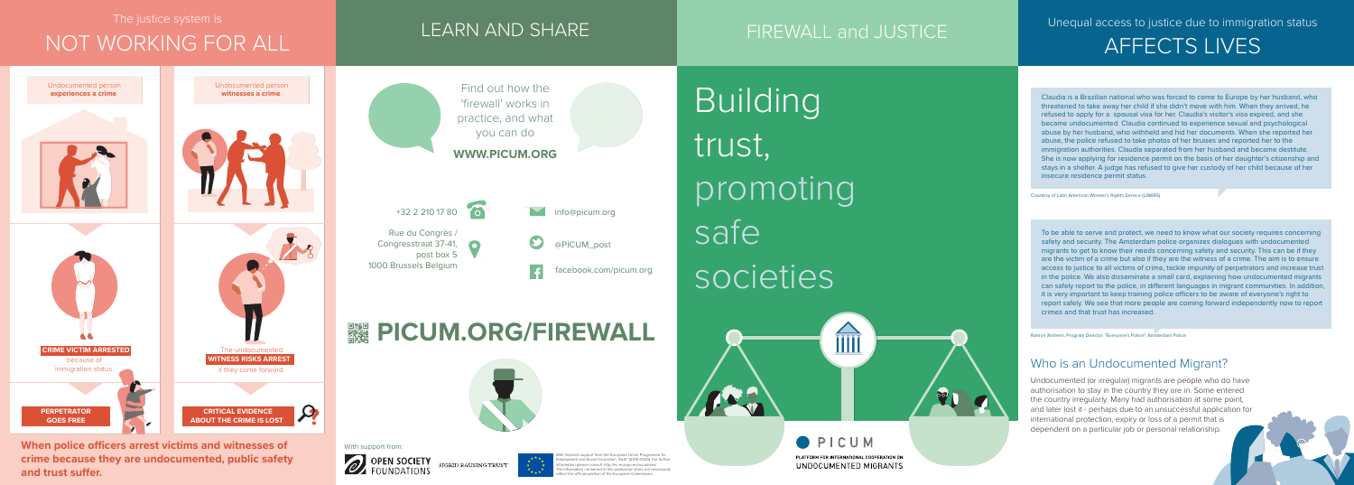Claudia is a Brazilian national who was forced to come to Europe by her husband, who threatened to take away her child if she didn't move with him. When they arrived, he refused to apply for a spousal visa for her. Claudia's visitor's visa expired, and she became undocumented. Claudia continued to experience sexual and psychological abuse by her husband, who withheld and hid her documents. When she reported her abuse, the police refused to take photos of her bruises and reported her to the immigration authorities. Claudia separated from her husband and became destitute. She is now applying for residence permit on the basis of her daughter's citizenship and stays in a shelter. A judge has refused to give her custody of her child because of her insecure residence permit status.

To be able to serve and protect, we need to know what our society requires concerning safety and security. The Amsterdam police organizes dialogues with undocumented migrants to get to know their needs concerning safety and security. This can be if they are the victim of a crime but also if they are the witness of a crime. The aim is to ensure access to justice to all victims of crime, tackle impunity of perpetrators and increase trust in the police. We also disseminate a small card, explaining how undocumented migrants can safely report to the police, in different languages in migrant communities. In addition, it is very important to keep training police officers to be aware of everyone's right to report safely. We see that more people are coming forward independently now to report crimes and that trust has increased.

**crime because they are undocumented, public safety**  and trust suffer.



SIGRID RAUSING TRUST



With financial support from the European Union Programme for It and Social Innovation "EaSI" (2014-2020). For furthe information please consult: http://ec.europa.eu/social/easi. The information contained in this publication does not necessarily reflect the official position of the European Commission.

Courtesy of Latin American Women's Rights Service (LAWRS)

Ramon Arnhem, Program Director, "Everyone's Police", Amsterdam Police

## Who is an Undocumented Migrant?

Undocumented (or irregular) migrants are people who do have authorisation to stay in the country they are in. Some entered the country irregularly. Many had authorisation at some point, and later lost it - perhaps due to an unsuccessful application for international protection, expiry or loss of a permit that is dependent on a particular job or personal relationship.

Unequal access to justice due to immigration status AFFECTS LIVES

PLATFORM FOR INTERNATIONAL COOPERATION ON UNDOCUMENTED MIGRANTS

The justice system is

# NOT WORKING FOR ALL **FIREWALL AND SHARE** FIREWALL and JUSTICE



## LEARN AND SHARE